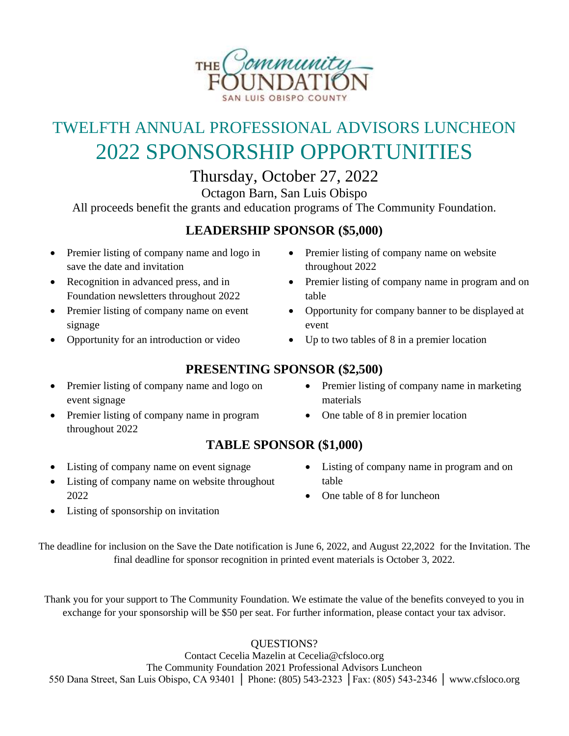

# TWELFTH ANNUAL PROFESSIONAL ADVISORS LUNCHEON 2022 SPONSORSHIP OPPORTUNITIES

Thursday, October 27, 2022

Octagon Barn, San Luis Obispo

All proceeds benefit the grants and education programs of The Community Foundation.

### **LEADERSHIP SPONSOR (\$5,000)**

- Premier listing of company name and logo in save the date and invitation
- Recognition in advanced press, and in Foundation newsletters throughout 2022
- Premier listing of company name on event signage
- Opportunity for an introduction or video
- Premier listing of company name on website throughout 2022
- Premier listing of company name in program and on table
- Opportunity for company banner to be displayed at event
- Up to two tables of 8 in a premier location

## **PRESENTING SPONSOR (\$2,500)**

**TABLE SPONSOR (\$1,000)**

- Premier listing of company name and logo on event signage
- Premier listing of company name in program throughout 2022
- Listing of company name in program and on table
- One table of 8 for luncheon
- Listing of company name on website throughout 2022

• Listing of company name on event signage

• Listing of sponsorship on invitation

The deadline for inclusion on the Save the Date notification is June 6, 2022, and August 22,2022 for the Invitation. The final deadline for sponsor recognition in printed event materials is October 3, 2022.

Thank you for your support to The Community Foundation. We estimate the value of the benefits conveyed to you in exchange for your sponsorship will be \$50 per seat. For further information, please contact your tax advisor.

QUESTIONS?

Contact Cecelia Mazelin at Cecelia@cfsloco.org The Community Foundation 2021 Professional Advisors Luncheon 550 Dana Street, San Luis Obispo, CA 93401 │ Phone: (805) 543-2323 │Fax: (805) 543-2346 │ [www.cfsloco.org](http://www.cfsloco.org/)

- Premier listing of company name in marketing materials
- One table of 8 in premier location